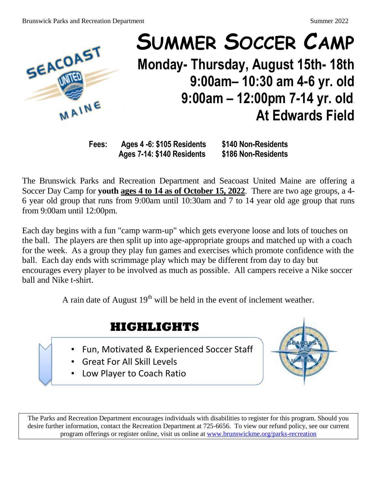

## **SUMMER SOCCER CAMP Monday- Thursday, August 15th- 18th 9:00am– 10:30 am 4-6 yr. old 9:00am – 12:00pm 7-14 yr. old**.  **At Edwards Field**

**Fees: Ages 4 -6: \$105 Residents \$140 Non-Residents Ages 7-14: \$140 Residents \$186 Non-Residents**

The Brunswick Parks and Recreation Department and Seacoast United Maine are offering a Soccer Day Camp for **youth ages 4 to 14 as of October 15, 2022**. There are two age groups, a 4- 6 year old group that runs from 9:00am until 10:30am and 7 to 14 year old age group that runs from 9:00am until 12:00pm.

Each day begins with a fun "camp warm-up" which gets everyone loose and lots of touches on the ball. The players are then split up into age-appropriate groups and matched up with a coach for the week. As a group they play fun games and exercises which promote confidence with the ball. Each day ends with scrimmage play which may be different from day to day but encourages every player to be involved as much as possible. All campers receive a Nike soccer ball and Nike t-shirt.

A rain date of August  $19<sup>th</sup>$  will be held in the event of inclement weather.

## **HIGHLIGHTS**

- Fun, Motivated & Experienced Soccer Staff
- Great For All Skill Levels
- Low Player to Coach Ratio



The Parks and Recreation Department encourages individuals with disabilities to register for this program. Should you desire further information, contact the Recreation Department at 725-6656. To view our refund policy, see our current program offerings or register online, visit us online at [www.brunswickme.org/parks-recreation](http://www.brunswickme.org/parks-recreation)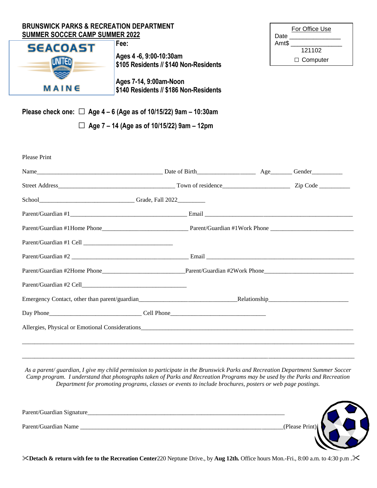| <b>BRUNSWICK PARKS &amp; RECREATION DEPARTMENT</b><br><b>SUMMER SOCCER CAMP SUMMER 2022</b> |                                                                           | For Office Use<br>Date             |  |
|---------------------------------------------------------------------------------------------|---------------------------------------------------------------------------|------------------------------------|--|
| <b>SEACOAST</b><br>UNI IED                                                                  | Fee:<br>Ages 4 -6, 9:00-10:30am<br>\$105 Residents // \$140 Non-Residents | Amt\$<br>121102<br>$\Box$ Computer |  |
| MAINE                                                                                       | Ages 7-14, 9:00am-Noon<br>\$140 Residents // \$186 Non-Residents          |                                    |  |
|                                                                                             | Please check one: $\Box$ Age 4 – 6 (Age as of 10/15/22) 9am – 10:30am     |                                    |  |
| Age 7 – 14 (Age as of 10/15/22) 9am – 12pm                                                  |                                                                           |                                    |  |

| Please Print |  |  |
|--------------|--|--|
|              |  |  |
|              |  |  |
|              |  |  |
|              |  |  |
|              |  |  |
|              |  |  |
|              |  |  |
|              |  |  |
|              |  |  |
|              |  |  |
|              |  |  |
|              |  |  |
|              |  |  |

*As a parent/ guardian, I give my child permission to participate in the Brunswick Parks and Recreation Department Summer Soccer Camp program. I understand that photographs taken of Parks and Recreation Programs may be used by the Parks and Recreation Department for promoting programs, classes or events to include brochures, posters or web page postings.*

\_\_\_\_\_\_\_\_\_\_\_\_\_\_\_\_\_\_\_\_\_\_\_\_\_\_\_\_\_\_\_\_\_\_\_\_\_\_\_\_\_\_\_\_\_\_\_\_\_\_\_\_\_\_\_\_\_\_\_\_\_\_\_\_\_\_\_\_\_\_\_\_\_\_\_\_\_\_\_\_\_\_\_\_\_\_\_\_\_\_\_\_\_\_\_\_\_\_\_\_\_\_\_\_\_\_\_\_

| Parent/Guardian Signature_ |                |
|----------------------------|----------------|
| Parent/Guardian Name       | (Please Print) |
|                            |                |

**Detach & return with fee to the Recreation Center**220 Neptune Drive., by **Aug 12th.** Office hours Mon.-Fri., 8:00 a.m. to 4:30 p.m .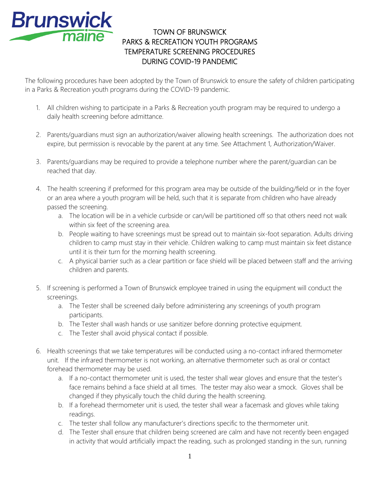

## TOWN OF BRUNSWICK PARKS & RECREATION YOUTH PROGRAMS TEMPERATURE SCREENING PROCEDURES DURING COVID-19 PANDEMIC

The following procedures have been adopted by the Town of Brunswick to ensure the safety of children participating in a Parks & Recreation youth programs during the COVID-19 pandemic.

- 1. All children wishing to participate in a Parks & Recreation youth program may be required to undergo a daily health screening before admittance.
- 2. Parents/guardians must sign an authorization/waiver allowing health screenings. The authorization does not expire, but permission is revocable by the parent at any time. See Attachment 1, Authorization/Waiver.
- 3. Parents/guardians may be required to provide a telephone number where the parent/guardian can be reached that day.
- 4. The health screening if preformed for this program area may be outside of the building/field or in the foyer or an area where a youth program will be held, such that it is separate from children who have already passed the screening.
	- a. The location will be in a vehicle curbside or can/will be partitioned off so that others need not walk within six feet of the screening area.
	- b. People waiting to have screenings must be spread out to maintain six-foot separation. Adults driving children to camp must stay in their vehicle. Children walking to camp must maintain six feet distance until it is their turn for the morning health screening.
	- c. A physical barrier such as a clear partition or face shield will be placed between staff and the arriving children and parents.
- 5. If screening is performed a Town of Brunswick employee trained in using the equipment will conduct the screenings.
	- a. The Tester shall be screened daily before administering any screenings of youth program participants.
	- b. The Tester shall wash hands or use sanitizer before donning protective equipment.
	- c. The Tester shall avoid physical contact if possible.
- 6. Health screenings that we take temperatures will be conducted using a no-contact infrared thermometer unit. If the infrared thermometer is not working, an alternative thermometer such as oral or contact forehead thermometer may be used.
	- a. If a no-contact thermometer unit is used, the tester shall wear gloves and ensure that the tester's face remains behind a face shield at all times. The tester may also wear a smock. Gloves shall be changed if they physically touch the child during the health screening.
	- b. If a forehead thermometer unit is used, the tester shall wear a facemask and gloves while taking readings.
	- c. The tester shall follow any manufacturer's directions specific to the thermometer unit.
	- d. The Tester shall ensure that children being screened are calm and have not recently been engaged in activity that would artificially impact the reading, such as prolonged standing in the sun, running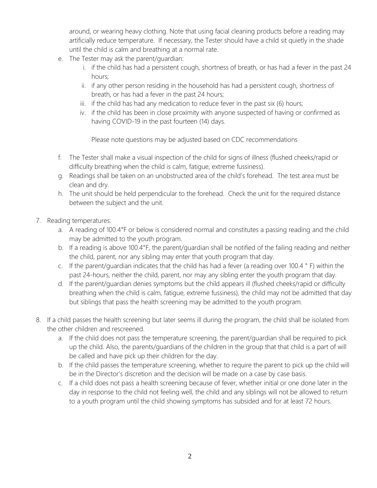around, or wearing heavy clothing. Note that using facial cleaning products before a reading may artificially reduce temperature. If necessary, the Tester should have a child sit quietly in the shade until the child is calm and breathing at a normal rate.

- e. The Tester may ask the parent/guardian:
	- i. if the child has had a persistent cough, shortness of breath, or has had a fever in the past 24 hours;
	- ii. if any other person residing in the household has had a persistent cough, shortness of breath, or has had a fever in the past 24 hours;
	- iii. if the child has had any medication to reduce fever in the past six (6) hours;
	- iv. if the child has been in close proximity with anyone suspected of having or confirmed as having COVID-19 in the past fourteen (14) days.

Please note questions may be adjusted based on CDC recommendations

- f. The Tester shall make a visual inspection of the child for signs of illness (flushed cheeks/rapid or difficulty breathing when the child is calm, fatigue, extreme fussiness).
- g. Readings shall be taken on an unobstructed area of the child's forehead. The test area must be clean and dry.
- h. The unit should be held perpendicular to the forehead. Check the unit for the required distance between the subject and the unit.
- 7. Reading temperatures:
	- a. A reading of 100.4°F or below is considered normal and constitutes a passing reading and the child may be admitted to the youth program.
	- b. If a reading is above 100.4°F, the parent/guardian shall be notified of the failing reading and neither the child, parent, nor any sibling may enter that youth program that day.
	- c. If the parent/guardian indicates that the child has had a fever (a reading over 100.4 ° F) within the past 24-hours, neither the child, parent, nor may any sibling enter the youth program that day.
	- d. If the parent/guardian denies symptoms but the child appears ill (flushed cheeks/rapid or difficulty breathing when the child is calm, fatigue, extreme fussiness), the child may not be admitted that day but siblings that pass the health screening may be admitted to the youth program.
- 8. If a child passes the health screening but later seems ill during the program, the child shall be isolated from the other children and rescreened.
	- a. If the child does not pass the temperature screening, the parent/guardian shall be required to pick up the child. Also, the parents/guardians of the children in the group that that child is a part of will be called and have pick up their children for the day.
	- b. If the child passes the temperature screening, whether to require the parent to pick up the child will be in the Director's discretion and the decision will be made on a case by case basis.
	- c. If a child does not pass a health screening because of fever, whether initial or one done later in the day in response to the child not feeling well, the child and any siblings will not be allowed to return to a youth program until the child showing symptoms has subsided and for at least 72 hours.